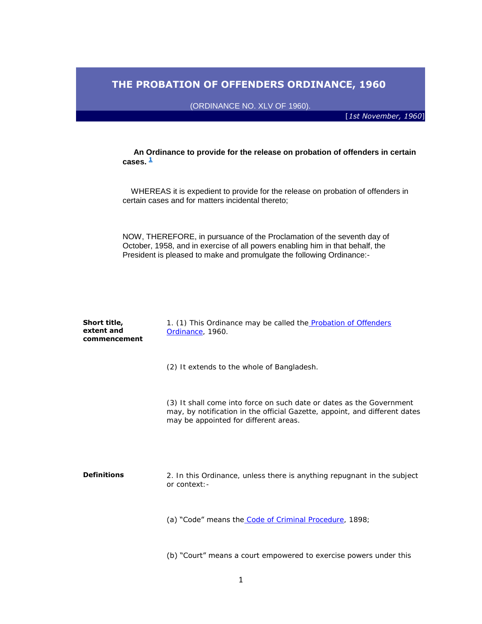# **THE PROBATION OF OFFENDERS ORDINANCE, 1960**

(ORDINANCE NO. XLV OF 1960).

[*1st November, 1960*]

 **An Ordinance to provide for the release on probation of offenders in certain**  cases.  $\frac{1}{2}$  $\frac{1}{2}$  $\frac{1}{2}$ 

 WHEREAS it is expedient to provide for the release on probation of offenders in certain cases and for matters incidental thereto;

NOW, THEREFORE, in pursuance of the Proclamation of the seventh day of October, 1958, and in exercise of all powers enabling him in that behalf, the President is pleased to make and promulgate the following Ordinance:-

| Short title,<br>extent and<br>commencement | 1. (1) This Ordinance may be called the <b>Probation of Offenders</b><br>Ordinance, 1960.                                                                                                   |
|--------------------------------------------|---------------------------------------------------------------------------------------------------------------------------------------------------------------------------------------------|
|                                            | (2) It extends to the whole of Bangladesh.                                                                                                                                                  |
|                                            | (3) It shall come into force on such date or dates as the Government<br>may, by notification in the official Gazette, appoint, and different dates<br>may be appointed for different areas. |
| <b>Definitions</b>                         | 2. In this Ordinance, unless there is anything repugnant in the subject<br>or context: -                                                                                                    |
|                                            | (a) "Code" means the Code of Criminal Procedure, 1898;                                                                                                                                      |
|                                            | (b) "Court" means a court empowered to exercise powers under this                                                                                                                           |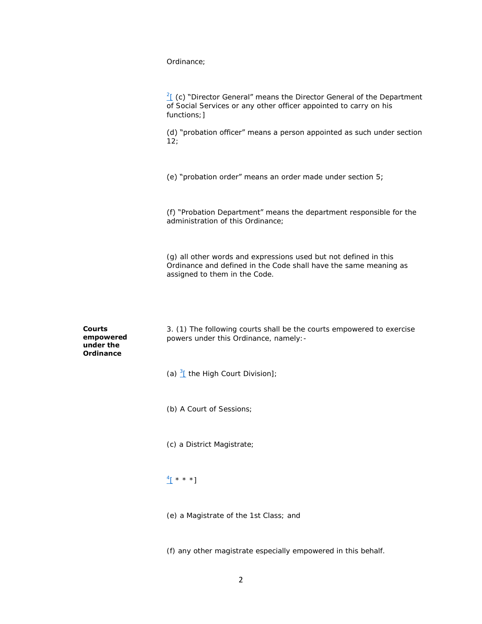Ordinance;

 $2f$  (c) "Director General" means the Director General of the Department of Social Services or any other officer appointed to carry on his functions; ]

(d) "probation officer" means a person appointed as such under section 12;

(e) "probation order" means an order made under section 5;

(f) "Probation Department" means the department responsible for the administration of this Ordinance;

(g) all other words and expressions used but not defined in this Ordinance and defined in the Code shall have the same meaning as assigned to them in the Code.

**Courts empowered under the Ordinance**

3. (1) The following courts shall be the courts empowered to exercise powers under this Ordinance, namely:-

(a)  $\frac{3}{2}$  the High Court Division];

(b) A Court of Sessions;

(c) a District Magistrate;

# $\frac{4}{1}$  \* \* \*]

(e) a Magistrate of the 1st Class; and

(f) any other magistrate especially empowered in this behalf.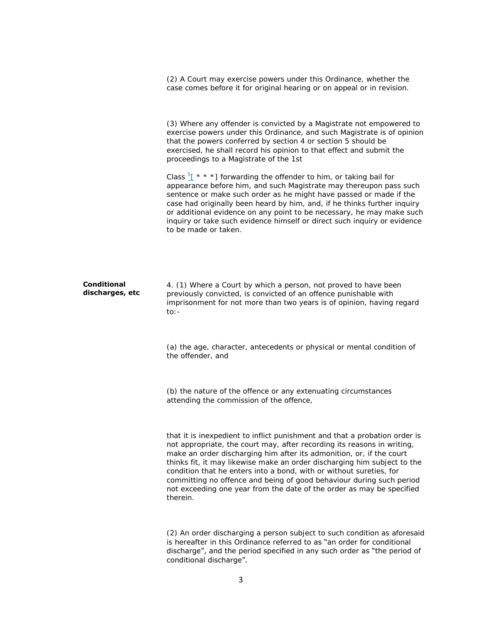(2) A Court may exercise powers under this Ordinance, whether the case comes before it for original hearing or on appeal or in revision.

(3) Where any offender is convicted by a Magistrate not empowered to exercise powers under this Ordinance, and such Magistrate is of opinion that the powers conferred by section 4 or section 5 should be exercised, he shall record his opinion to that effect and submit the proceedings to a Magistrate of the 1st

Class  $5f \star \star \star$ ] forwarding the offender to him, or taking bail for appearance before him, and such Magistrate may thereupon pass such sentence or make such order as he might have passed or made if the case had originally been heard by him, and, if he thinks further inquiry or additional evidence on any point to be necessary, he may make such inquiry or take such evidence himself or direct such inquiry or evidence to be made or taken.

**Conditional discharges, etc** 4. (1) Where a Court by which a person, not proved to have been previously convicted, is convicted of an offence punishable with imprisonment for not more than two years is of opinion, having regard to:-

> (a) the age, character, antecedents or physical or mental condition of the offender, and

(b) the nature of the offence or any extenuating circumstances attending the commission of the offence,

that it is inexpedient to inflict punishment and that a probation order is not appropriate, the court may, after recording its reasons in writing, make an order discharging him after its admonition, or, if the court thinks fit, it may likewise make an order discharging him subject to the condition that he enters into a bond, with or without sureties, for committing no offence and being of good behaviour during such period not exceeding one year from the date of the order as may be specified therein.

(2) An order discharging a person subject to such condition as aforesaid is hereafter in this Ordinance referred to as "an order for conditional discharge", and the period specified in any such order as "the period of conditional discharge".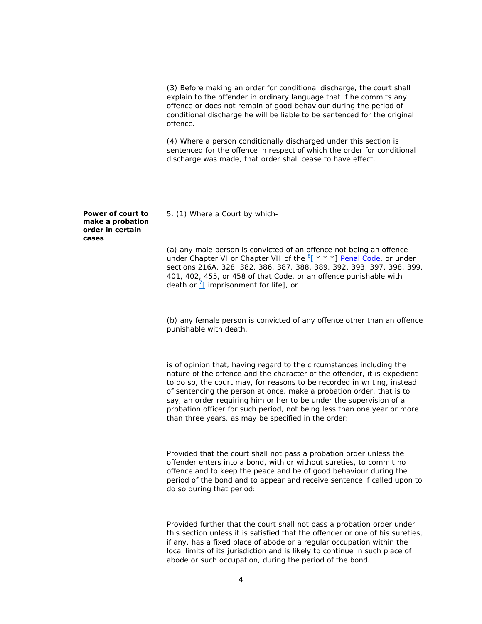(3) Before making an order for conditional discharge, the court shall explain to the offender in ordinary language that if he commits any offence or does not remain of good behaviour during the period of conditional discharge he will be liable to be sentenced for the original offence.

(4) Where a person conditionally discharged under this section is sentenced for the offence in respect of which the order for conditional discharge was made, that order shall cease to have effect.

5. (1) Where a Court by which-

(a) any male person is convicted of an offence not being an offence under Chapter VI or Chapter VII of the  $6 + x * 1$  [Penal Code,](http://bdlaws.minlaw.gov.bd/pdf_part.php?id=11) or under sections 216A, 328, 382, 386, 387, 388, 389, 392, 393, 397, 398, 399, 401, 402, 455, or 458 of that Code, or an offence punishable with death or  $\frac{7}{1}$  imprisonment for life], or

(b) any female person is convicted of any offence other than an offence punishable with death,

is of opinion that, having regard to the circumstances including the nature of the offence and the character of the offender, it is expedient to do so, the court may, for reasons to be recorded in writing, instead of sentencing the person at once, make a probation order, that is to say, an order requiring him or her to be under the supervision of a probation officer for such period, not being less than one year or more than three years, as may be specified in the order:

Provided that the court shall not pass a probation order unless the offender enters into a bond, with or without sureties, to commit no offence and to keep the peace and be of good behaviour during the period of the bond and to appear and receive sentence if called upon to do so during that period:

Provided further that the court shall not pass a probation order under this section unless it is satisfied that the offender or one of his sureties, if any, has a fixed place of abode or a regular occupation within the local limits of its jurisdiction and is likely to continue in such place of abode or such occupation, during the period of the bond.

## **Power of court to make a probation order in certain cases**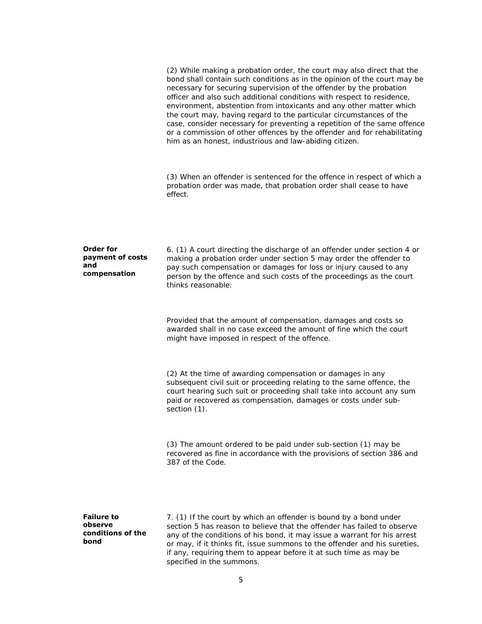| <b>Failure to</b><br>observe<br>conditions of the<br>bond   | 7. (1) If the court by which an offender is bound by a bond under<br>section 5 has reason to believe that the offender has failed to observe<br>any of the conditions of his bond, it may issue a warrant for his arrest<br>or may, if it thinks fit, issue summons to the offender and his sureties,                                                                                                                                                                                                                                                                                                                                                               |
|-------------------------------------------------------------|---------------------------------------------------------------------------------------------------------------------------------------------------------------------------------------------------------------------------------------------------------------------------------------------------------------------------------------------------------------------------------------------------------------------------------------------------------------------------------------------------------------------------------------------------------------------------------------------------------------------------------------------------------------------|
|                                                             | (3) The amount ordered to be paid under sub-section (1) may be<br>recovered as fine in accordance with the provisions of section 386 and<br>387 of the Code.                                                                                                                                                                                                                                                                                                                                                                                                                                                                                                        |
|                                                             | (2) At the time of awarding compensation or damages in any<br>subsequent civil suit or proceeding relating to the same offence, the<br>court hearing such suit or proceeding shall take into account any sum<br>paid or recovered as compensation, damages or costs under sub-<br>section (1).                                                                                                                                                                                                                                                                                                                                                                      |
|                                                             | Provided that the amount of compensation, damages and costs so<br>awarded shall in no case exceed the amount of fine which the court<br>might have imposed in respect of the offence.                                                                                                                                                                                                                                                                                                                                                                                                                                                                               |
| <b>Order for</b><br>payment of costs<br>and<br>compensation | 6. (1) A court directing the discharge of an offender under section 4 or<br>making a probation order under section 5 may order the offender to<br>pay such compensation or damages for loss or injury caused to any<br>person by the offence and such costs of the proceedings as the court<br>thinks reasonable:                                                                                                                                                                                                                                                                                                                                                   |
|                                                             | (3) When an offender is sentenced for the offence in respect of which a<br>probation order was made, that probation order shall cease to have<br>effect.                                                                                                                                                                                                                                                                                                                                                                                                                                                                                                            |
|                                                             | (2) While making a probation order, the court may also direct that the<br>bond shall contain such conditions as in the opinion of the court may be<br>necessary for securing supervision of the offender by the probation<br>officer and also such additional conditions with respect to residence,<br>environment, abstention from intoxicants and any other matter which<br>the court may, having regard to the particular circumstances of the<br>case, consider necessary for preventing a repetition of the same offence<br>or a commission of other offences by the offender and for rehabilitating<br>him as an honest, industrious and law-abiding citizen. |

5

specified in the summons.

if any, requiring them to appear before it at such time as may be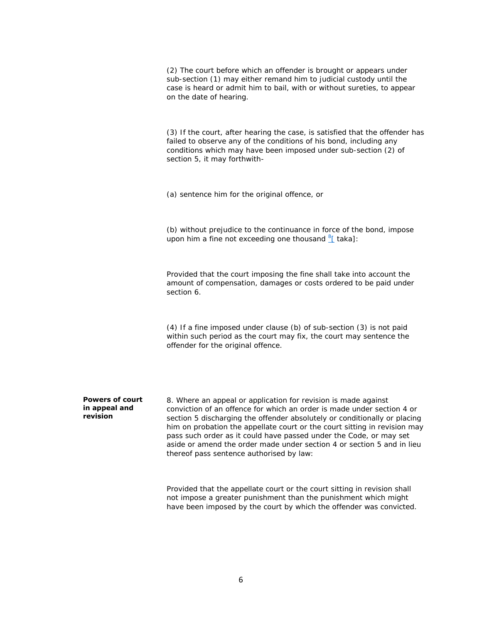(2) The court before which an offender is brought or appears under sub-section (1) may either remand him to judicial custody until the case is heard or admit him to bail, with or without sureties, to appear on the date of hearing.

(3) If the court, after hearing the case, is satisfied that the offender has failed to observe any of the conditions of his bond, including any conditions which may have been imposed under sub-section (2) of section 5, it may forthwith-

(a) sentence him for the original offence, or

(b) without prejudice to the continuance in force of the bond, impose upon him a fine not exceeding one thousand  $8f$  taka]:

Provided that the court imposing the fine shall take into account the amount of compensation, damages or costs ordered to be paid under section 6.

(4) If a fine imposed under clause (b) of sub-section (3) is not paid within such period as the court may fix, the court may sentence the offender for the original offence.

## **Powers of court in appeal and revision**

8. Where an appeal or application for revision is made against conviction of an offence for which an order is made under section 4 or section 5 discharging the offender absolutely or conditionally or placing him on probation the appellate court or the court sitting in revision may pass such order as it could have passed under the Code, or may set aside or amend the order made under section 4 or section 5 and in lieu thereof pass sentence authorised by law:

Provided that the appellate court or the court sitting in revision shall not impose a greater punishment than the punishment which might have been imposed by the court by which the offender was convicted.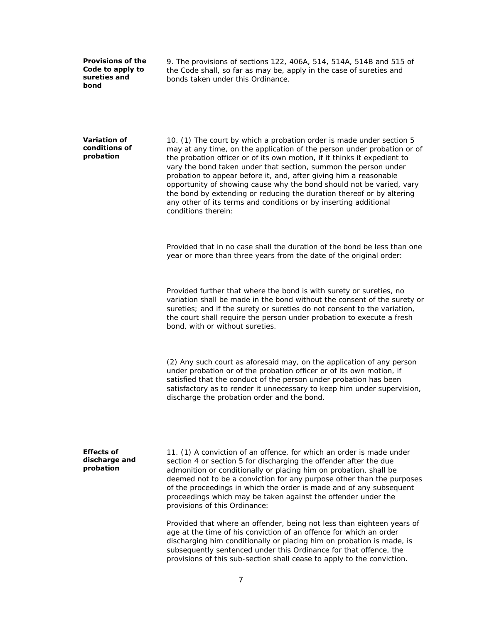**Provisions of the Code to apply to sureties and bond**

9. The provisions of sections 122, 406A, 514, 514A, 514B and 515 of the Code shall, so far as may be, apply in the case of sureties and bonds taken under this Ordinance.

**Variation of conditions of probation**

10. (1) The court by which a probation order is made under section 5 may at any time, on the application of the person under probation or of the probation officer or of its own motion, if it thinks it expedient to vary the bond taken under that section, summon the person under probation to appear before it, and, after giving him a reasonable opportunity of showing cause why the bond should not be varied, vary the bond by extending or reducing the duration thereof or by altering any other of its terms and conditions or by inserting additional conditions therein:

Provided that in no case shall the duration of the bond be less than one year or more than three years from the date of the original order:

Provided further that where the bond is with surety or sureties, no variation shall be made in the bond without the consent of the surety or sureties; and if the surety or sureties do not consent to the variation, the court shall require the person under probation to execute a fresh bond, with or without sureties.

(2) Any such court as aforesaid may, on the application of any person under probation or of the probation officer or of its own motion, if satisfied that the conduct of the person under probation has been satisfactory as to render it unnecessary to keep him under supervision, discharge the probation order and the bond.

## **Effects of discharge and probation**

11. (1) A conviction of an offence, for which an order is made under section 4 or section 5 for discharging the offender after the due admonition or conditionally or placing him on probation, shall be deemed not to be a conviction for any purpose other than the purposes of the proceedings in which the order is made and of any subsequent proceedings which may be taken against the offender under the provisions of this Ordinance:

Provided that where an offender, being not less than eighteen years of age at the time of his conviction of an offence for which an order discharging him conditionally or placing him on probation is made, is subsequently sentenced under this Ordinance for that offence, the provisions of this sub-section shall cease to apply to the conviction.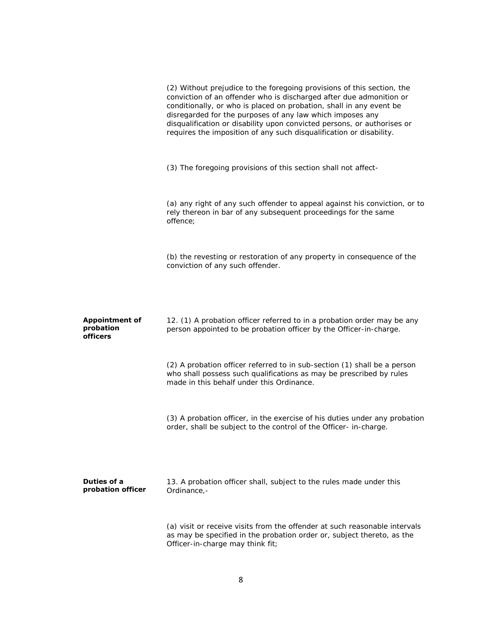|                                                | (2) Without prejudice to the foregoing provisions of this section, the<br>conviction of an offender who is discharged after due admonition or<br>conditionally, or who is placed on probation, shall in any event be<br>disregarded for the purposes of any law which imposes any<br>disqualification or disability upon convicted persons, or authorises or<br>requires the imposition of any such disqualification or disability. |
|------------------------------------------------|-------------------------------------------------------------------------------------------------------------------------------------------------------------------------------------------------------------------------------------------------------------------------------------------------------------------------------------------------------------------------------------------------------------------------------------|
|                                                | (3) The foregoing provisions of this section shall not affect-                                                                                                                                                                                                                                                                                                                                                                      |
|                                                | (a) any right of any such offender to appeal against his conviction, or to<br>rely thereon in bar of any subsequent proceedings for the same<br>offence;                                                                                                                                                                                                                                                                            |
|                                                | (b) the revesting or restoration of any property in consequence of the<br>conviction of any such offender.                                                                                                                                                                                                                                                                                                                          |
| <b>Appointment of</b><br>probation<br>officers | 12. (1) A probation officer referred to in a probation order may be any<br>person appointed to be probation officer by the Officer-in-charge.                                                                                                                                                                                                                                                                                       |
|                                                | (2) A probation officer referred to in sub-section (1) shall be a person<br>who shall possess such qualifications as may be prescribed by rules<br>made in this behalf under this Ordinance.                                                                                                                                                                                                                                        |
|                                                | (3) A probation officer, in the exercise of his duties under any probation<br>order, shall be subject to the control of the Officer- in-charge.                                                                                                                                                                                                                                                                                     |
| <b>Duties of a</b><br>probation officer        | 13. A probation officer shall, subject to the rules made under this<br>Ordinance,-                                                                                                                                                                                                                                                                                                                                                  |
|                                                | (a) visit or receive visits from the offender at such reasonable intervals<br>as may be specified in the probation order or, subject thereto, as the<br>Officer-in-charge may think fit;                                                                                                                                                                                                                                            |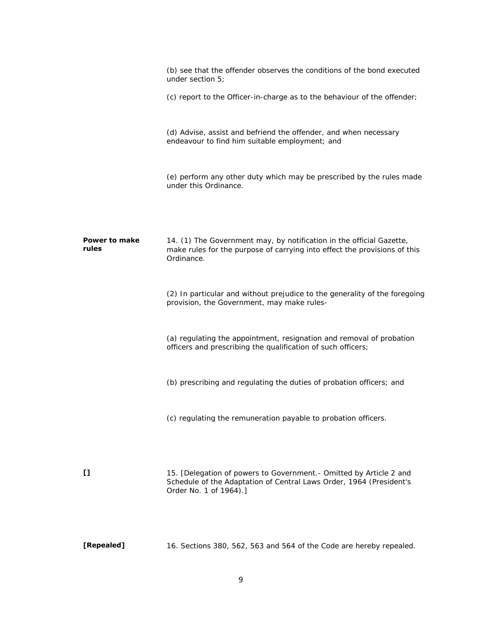|                               | (b) see that the offender observes the conditions of the bond executed<br>under section 5;                                                                           |
|-------------------------------|----------------------------------------------------------------------------------------------------------------------------------------------------------------------|
|                               | (c) report to the Officer-in-charge as to the behaviour of the offender;                                                                                             |
|                               | (d) Advise, assist and befriend the offender, and when necessary<br>endeavour to find him suitable employment; and                                                   |
|                               | (e) perform any other duty which may be prescribed by the rules made<br>under this Ordinance.                                                                        |
| <b>Power to make</b><br>rules | 14. (1) The Government may, by notification in the official Gazette,<br>make rules for the purpose of carrying into effect the provisions of this<br>Ordinance.      |
|                               | (2) In particular and without prejudice to the generality of the foregoing<br>provision, the Government, may make rules-                                             |
|                               | (a) regulating the appointment, resignation and removal of probation<br>officers and prescribing the qualification of such officers;                                 |
|                               | (b) prescribing and regulating the duties of probation officers; and                                                                                                 |
|                               | (c) regulating the remuneration payable to probation officers.                                                                                                       |
| $\mathbf{I}$                  | 15. [Delegation of powers to Government. - Omitted by Article 2 and<br>Schedule of the Adaptation of Central Laws Order, 1964 (President's<br>Order No. 1 of 1964).] |
| [Repealed]                    | 16. Sections 380, 562, 563 and 564 of the Code are hereby repealed.                                                                                                  |